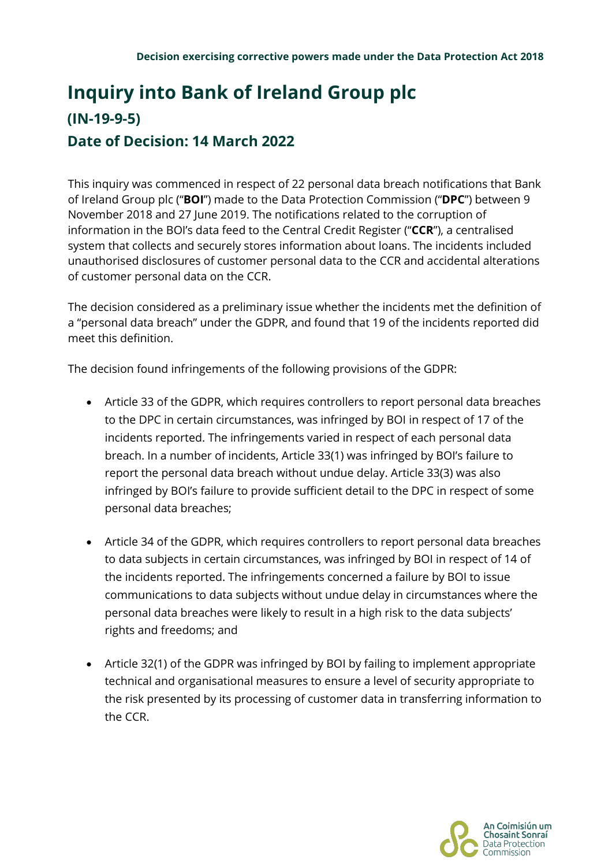## **Inquiry into Bank of Ireland Group plc (IN-19-9-5) Date of Decision: 14 March 2022**

This inquiry was commenced in respect of 22 personal data breach notifications that Bank of Ireland Group plc ("**BOI**") made to the Data Protection Commission ("**DPC**") between 9 November 2018 and 27 June 2019. The notifications related to the corruption of information in the BOI's data feed to the Central Credit Register ("**CCR**"), a centralised system that collects and securely stores information about loans. The incidents included unauthorised disclosures of customer personal data to the CCR and accidental alterations of customer personal data on the CCR.

The decision considered as a preliminary issue whether the incidents met the definition of a "personal data breach" under the GDPR, and found that 19 of the incidents reported did meet this definition.

The decision found infringements of the following provisions of the GDPR:

- Article 33 of the GDPR, which requires controllers to report personal data breaches to the DPC in certain circumstances, was infringed by BOI in respect of 17 of the incidents reported. The infringements varied in respect of each personal data breach. In a number of incidents, Article 33(1) was infringed by BOI's failure to report the personal data breach without undue delay. Article 33(3) was also infringed by BOI's failure to provide sufficient detail to the DPC in respect of some personal data breaches;
- Article 34 of the GDPR, which requires controllers to report personal data breaches to data subjects in certain circumstances, was infringed by BOI in respect of 14 of the incidents reported. The infringements concerned a failure by BOI to issue communications to data subjects without undue delay in circumstances where the personal data breaches were likely to result in a high risk to the data subjects' rights and freedoms; and
- Article 32(1) of the GDPR was infringed by BOI by failing to implement appropriate technical and organisational measures to ensure a level of security appropriate to the risk presented by its processing of customer data in transferring information to the CCR.